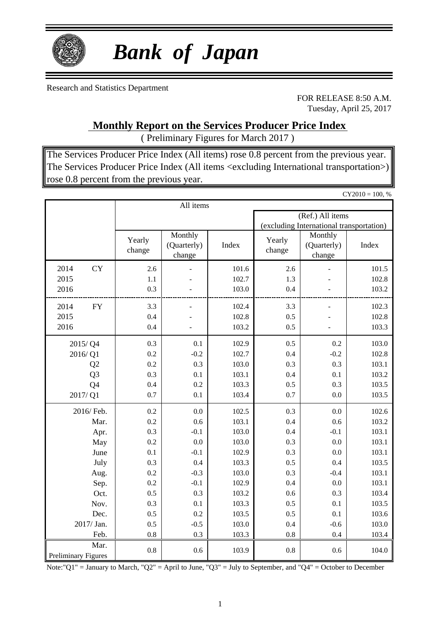

# *Bank of Japan*

Research and Statistics Department

FOR RELEASE 8:50 A.M. Tuesday, April 25, 2017

**Monthly Report on the Services Producer Price Index**

( Preliminary Figures for March 2017 )

The Services Producer Price Index (All items) rose 0.8 percent from the previous year. The Services Producer Price Index (All items <excluding International transportation>) rose 0.8 percent from the previous year.

 $CY2010 = 100, %$ 

|                                    |                  | All items                        |       |                  |                                          |       |  |  |  |  |
|------------------------------------|------------------|----------------------------------|-------|------------------|------------------------------------------|-------|--|--|--|--|
|                                    |                  |                                  |       |                  | (Ref.) All items                         |       |  |  |  |  |
|                                    |                  |                                  |       |                  | (excluding International transportation) |       |  |  |  |  |
|                                    | Yearly<br>change | Monthly<br>(Quarterly)<br>change | Index | Yearly<br>change | Monthly<br>(Quarterly)<br>change         | Index |  |  |  |  |
| 2014<br><b>CY</b>                  | 2.6              |                                  | 101.6 | 2.6              |                                          | 101.5 |  |  |  |  |
| 2015                               | 1.1              |                                  | 102.7 | 1.3              |                                          | 102.8 |  |  |  |  |
| 2016                               | 0.3              |                                  | 103.0 | 0.4              |                                          | 103.2 |  |  |  |  |
| 2014<br><b>FY</b>                  | 3.3              |                                  | 102.4 | 3.3              |                                          | 102.3 |  |  |  |  |
| 2015                               | 0.4              |                                  | 102.8 | 0.5              |                                          | 102.8 |  |  |  |  |
| 2016                               | 0.4              |                                  | 103.2 | 0.5              |                                          | 103.3 |  |  |  |  |
| 2015/Q4                            | 0.3              | 0.1                              | 102.9 | 0.5              | 0.2                                      | 103.0 |  |  |  |  |
| 2016/Q1                            | 0.2              | $-0.2$                           | 102.7 | 0.4              | $-0.2$                                   | 102.8 |  |  |  |  |
| Q2                                 | 0.2              | 0.3                              | 103.0 | 0.3              | 0.3                                      | 103.1 |  |  |  |  |
| Q <sub>3</sub>                     | 0.3              | 0.1                              | 103.1 | 0.4              | 0.1                                      | 103.2 |  |  |  |  |
| Q4                                 | 0.4              | 0.2                              | 103.3 | 0.5              | 0.3                                      | 103.5 |  |  |  |  |
| 2017/Q1                            | 0.7              | 0.1                              | 103.4 | 0.7              | 0.0                                      | 103.5 |  |  |  |  |
| 2016/ Feb.                         | 0.2              | 0.0                              | 102.5 | 0.3              | 0.0                                      | 102.6 |  |  |  |  |
| Mar.                               | 0.2              | 0.6                              | 103.1 | 0.4              | 0.6                                      | 103.2 |  |  |  |  |
| Apr.                               | 0.3              | $-0.1$                           | 103.0 | 0.4              | $-0.1$                                   | 103.1 |  |  |  |  |
| May                                | 0.2              | 0.0                              | 103.0 | 0.3              | 0.0                                      | 103.1 |  |  |  |  |
| June                               | 0.1              | $-0.1$                           | 102.9 | 0.3              | 0.0                                      | 103.1 |  |  |  |  |
| July                               | 0.3              | 0.4                              | 103.3 | 0.5              | 0.4                                      | 103.5 |  |  |  |  |
| Aug.                               | 0.2              | $-0.3$                           | 103.0 | 0.3              | $-0.4$                                   | 103.1 |  |  |  |  |
| Sep.                               | 0.2              | $-0.1$                           | 102.9 | 0.4              | 0.0                                      | 103.1 |  |  |  |  |
| Oct.                               | 0.5              | 0.3                              | 103.2 | 0.6              | 0.3                                      | 103.4 |  |  |  |  |
| Nov.                               | 0.3              | 0.1                              | 103.3 | 0.5              | 0.1                                      | 103.5 |  |  |  |  |
| Dec.                               | 0.5              | 0.2                              | 103.5 | 0.5              | 0.1                                      | 103.6 |  |  |  |  |
| 2017/ Jan.                         | 0.5              | $-0.5$                           | 103.0 | 0.4              | $-0.6$                                   | 103.0 |  |  |  |  |
| Feb.                               | 0.8              | 0.3                              | 103.3 | 0.8              | 0.4                                      | 103.4 |  |  |  |  |
| Mar.<br><b>Preliminary Figures</b> | 0.8              | 0.6                              | 103.9 | 0.8              | 0.6                                      | 104.0 |  |  |  |  |

Note:"Q1" = January to March, "Q2" = April to June, "Q3" = July to September, and "Q4" = October to December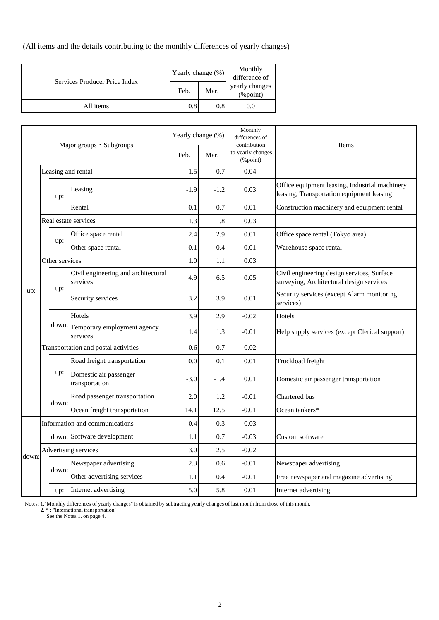(All items and the details contributing to the monthly differences of yearly changes)

| Services Producer Price Index |      | Yearly change (%) | Monthly<br>difference of       |
|-------------------------------|------|-------------------|--------------------------------|
|                               | Feb. | Mar.              | yearly changes<br>$(\%$ point) |
| All items                     | 0.8  | 0.8               | 0.0                            |

|       | Major groups · Subgroups |                |                                                 | Yearly change (%) | Monthly<br>differences of<br>contribution | Items                             |                                                                                             |
|-------|--------------------------|----------------|-------------------------------------------------|-------------------|-------------------------------------------|-----------------------------------|---------------------------------------------------------------------------------------------|
|       |                          |                |                                                 | Feb.              | Mar.                                      | to yearly changes<br>$(\%$ point) |                                                                                             |
|       |                          |                | Leasing and rental                              | $-1.5$            | $-0.7$                                    | 0.04                              |                                                                                             |
|       |                          | up:            | Leasing                                         | $-1.9$            | $-1.2$                                    | 0.03                              | Office equipment leasing, Industrial machinery<br>leasing, Transportation equipment leasing |
|       |                          |                | Rental                                          | 0.1               | 0.7                                       | 0.01                              | Construction machinery and equipment rental                                                 |
|       |                          |                | Real estate services                            | 1.3               | 1.8                                       | 0.03                              |                                                                                             |
|       |                          |                | Office space rental                             | 2.4               | 2.9                                       | 0.01                              | Office space rental (Tokyo area)                                                            |
|       |                          | up:            | Other space rental                              | $-0.1$            | 0.4                                       | 0.01                              | Warehouse space rental                                                                      |
|       |                          | Other services |                                                 | 1.0               | 1.1                                       | 0.03                              |                                                                                             |
|       |                          | up:            | Civil engineering and architectural<br>services | 4.9               | 6.5                                       | 0.05                              | Civil engineering design services, Surface<br>surveying, Architectural design services      |
| up:   |                          |                | Security services                               | 3.2               | 3.9                                       | 0.01                              | Security services (except Alarm monitoring<br>services)                                     |
|       |                          |                | Hotels                                          | 3.9               | 2.9                                       | $-0.02$                           | Hotels                                                                                      |
|       |                          | down:          | Temporary employment agency<br>services         | 1.4               | 1.3                                       | $-0.01$                           | Help supply services (except Clerical support)                                              |
|       |                          |                | Transportation and postal activities            | 0.6               | 0.7                                       | 0.02                              |                                                                                             |
|       |                          |                | Road freight transportation                     | 0.0               | 0.1                                       | 0.01                              | Truckload freight                                                                           |
|       |                          | up:            | Domestic air passenger<br>transportation        | $-3.0$            | $-1.4$                                    | 0.01                              | Domestic air passenger transportation                                                       |
|       |                          | down:          | Road passenger transportation                   | 2.0               | 1.2                                       | $-0.01$                           | Chartered bus                                                                               |
|       |                          |                | Ocean freight transportation                    | 14.1              | 12.5                                      | $-0.01$                           | Ocean tankers*                                                                              |
|       |                          |                | Information and communications                  | 0.4               | 0.3                                       | $-0.03$                           |                                                                                             |
|       |                          |                | down: Software development                      | 1.1               | 0.7                                       | $-0.03$                           | Custom software                                                                             |
| down: |                          |                | Advertising services                            | 3.0               | 2.5                                       | $-0.02$                           |                                                                                             |
|       |                          | down:          | Newspaper advertising                           | 2.3               | 0.6                                       | $-0.01$                           | Newspaper advertising                                                                       |
|       |                          |                | Other advertising services                      | 1.1               | 0.4                                       | $-0.01$                           | Free newspaper and magazine advertising                                                     |
|       |                          | up:            | Internet advertising                            | 5.0               | 5.8                                       | 0.01                              | Internet advertising                                                                        |

Notes: 1."Monthly differences of yearly changes" is obtained by subtracting yearly changes of last month from those of this month.

2. \* : "International transportation"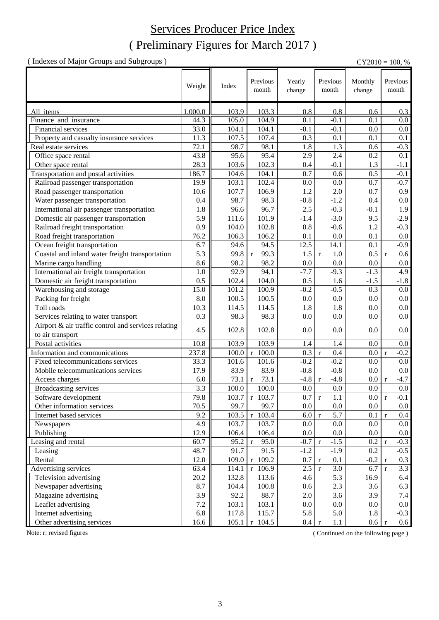## ( Preliminary Figures for March 2017 ) Services Producer Price Index

( Indexes of Major Groups and Subgroups ) CY2010 = 100, %

|                                                     | Weight  | Index          | Previous<br>month    | Yearly<br>change | Previous<br>month     | Monthly<br>change | Previous<br>month       |
|-----------------------------------------------------|---------|----------------|----------------------|------------------|-----------------------|-------------------|-------------------------|
| All items                                           | 1,000.0 | 103.9          | 103.3                | 0.8              | 0.8                   | 0.6               | 0.3                     |
| Finance and insurance                               | 44.3    | 105.0          | 104.9                | 0.1              | $-0.1$                | 0.1               | 0.0                     |
| Financial services                                  | 33.0    | 104.1          | 104.1                | $-0.1$           | $-0.1$                | 0.0               | 0.0                     |
| Property and casualty insurance services            | 11.3    | 107.5          | 107.4                | 0.3              | 0.1                   | 0.1               | 0.1                     |
| Real estate services                                | 72.1    | 98.7           | 98.1                 | 1.8              | 1.3                   | 0.6               | $-0.3$                  |
| Office space rental                                 | 43.8    | 95.6           | 95.4                 | 2.9              | 2.4                   | 0.2               | 0.1                     |
| Other space rental                                  | 28.3    | 103.6          | 102.3                | 0.4              | $-0.1$                | 1.3               | $-1.1$                  |
| Transportation and postal activities                | 186.7   | 104.6          | 104.1                | 0.7              | 0.6                   | 0.5               | $-0.1$                  |
| Railroad passenger transportation                   | 19.9    | 103.1          | 102.4                | 0.0              | 0.0                   | 0.7               | $-0.7$                  |
| Road passenger transportation                       | 10.6    | 107.7          | 106.9                | 1.2              | 2.0                   | 0.7               | 0.9                     |
| Water passenger transportation                      | 0.4     | 98.7           | 98.3                 | $-0.8$           | $-1.2$                | 0.4               | 0.0                     |
| International air passenger transportation          | 1.8     | 96.6           | 96.7                 | 2.5              | $-0.3$                | $-0.1$            | 1.9                     |
| Domestic air passenger transportation               | 5.9     | 111.6          | 101.9                | $-1.4$           | $-3.0$                | 9.5               | $-2.9$                  |
| Railroad freight transportation                     | 0.9     | 104.0          | 102.8                | 0.8              | $-0.6$                | 1.2               | $-0.3$                  |
| Road freight transportation                         | 76.2    | 106.3          | 106.2                | 0.1              | 0.0                   | 0.1               | 0.0                     |
| Ocean freight transportation                        | 6.7     | 94.6           | 94.5                 | 12.5             | 14.1                  | 0.1               | $-0.9$                  |
| Coastal and inland water freight transportation     | 5.3     | 99.8           | 99.3<br>$\mathbf{r}$ | 1.5              | 1.0<br>$\mathbf{r}$   | 0.5               | $0.6\,$<br>$\mathbf{r}$ |
| Marine cargo handling                               | 8.6     | 98.2           | 98.2                 | 0.0              | 0.0                   | 0.0               | $0.0\,$                 |
| International air freight transportation            | 1.0     | 92.9           | 94.1                 | $-7.7$           | $-9.3$                | $-1.3$            | 4.9                     |
| Domestic air freight transportation                 | 0.5     | 102.4          | 104.0                | 0.5              | 1.6                   | $-1.5$            | $-1.8$                  |
| Warehousing and storage                             | 15.0    | 101.2          | 100.9                | $-0.2$           | $-0.5$                | 0.3               | $0.0\,$                 |
| Packing for freight                                 | 8.0     | 100.5          | 100.5                | 0.0              | 0.0                   | 0.0               | $0.0\,$                 |
| Toll roads                                          | 10.3    | 114.5          | 114.5                | 1.8              | 1.8                   | 0.0               | $0.0\,$                 |
| Services relating to water transport                | 0.3     | 98.3           | 98.3                 | 0.0              | 0.0                   | 0.0               | 0.0                     |
| Airport & air traffic control and services relating |         |                |                      |                  |                       |                   |                         |
| to air transport                                    | 4.5     | 102.8          | 102.8                | 0.0              | 0.0                   | 0.0               | 0.0                     |
| Postal activities                                   | 10.8    | 103.9          | 103.9                | 1.4              | 1.4                   | 0.0               | 0.0                     |
| Information and communications                      | 237.8   | 100.0          | $\overline{r}$ 100.0 | 0.3              | 0.4<br>$\mathbf r$    | 0.0               | $\mathbf{r}$<br>$-0.2$  |
| Fixed telecommunications services                   | 33.3    | 101.6          | 101.6                | $-0.2$           | $-0.2$                | 0.0               | 0.0                     |
| Mobile telecommunications services                  | 17.9    | 83.9           | 83.9                 | $-0.8$           | $-0.8$                | 0.0               | 0.0                     |
| Access charges                                      | 6.0     | 73.1           | 73.1<br>$\mathbf{r}$ | $-4.8$           | $-4.8$<br>$\mathbf r$ | 0.0               | $-4.7$<br>$\mathbf{r}$  |
| Broadcasting services                               | 3.3     | 100.0          | 100.0                | 0.0              | 0.0                   | 0.0               | 0.0                     |
| Software development                                | 79.8    | 103.7          | $r$ 103.7            | 0.7 r            | $1.1\,$               | $0.0\,$           | $-0.1$                  |
| Other information services                          | 70.5    | 99.7           | 99.7                 | $0.0\,$          | 0.0                   | 0.0               | $0.0\,$                 |
| Internet based services                             | 9.2     | 103.5          | 103.4<br>$\mathbf r$ | 6.0              | 5.7<br>$\mathbf r$    | 0.1               | 0.4<br>$\mathbf{r}$     |
| Newspapers                                          | 4.9     | 103.7          | 103.7                | $0.0\,$          | 0.0                   | 0.0               | 0.0                     |
| Publishing                                          | 12.9    | 106.4          | 106.4                | $0.0\,$          | 0.0                   | 0.0               | $0.0\,$                 |
| Leasing and rental                                  | 60.7    | 95.2           | 95.0<br>  r          | $-0.7 r$         | $-1.5$                | 0.2               | $-0.3$<br>$\mathbf{r}$  |
| Leasing                                             | 48.7    | 91.7           | 91.5                 | $-1.2$           | $-1.9$                | 0.2               | $-0.5$                  |
| Rental                                              | 12.0    | 109.0          | $r$ 109.2            | 0.7              | 0.1<br>$\mathbf{r}$   | $-0.2$            | 0.3<br>$\mathbf{r}$     |
| Advertising services                                | 63.4    | 114.1          | 106.9<br>$\mathbf r$ | $2.5 \mid r$     | 3.0                   | 6.7               | 3.3<br>$\mathbf{r}$     |
| Television advertising                              | 20.2    | 132.8          | 113.6                | 4.6              | 5.3                   | 16.9              | 6.4                     |
| Newspaper advertising                               | 8.7     | 104.4          | 100.8                | 0.6              | 2.3                   | 3.6               | 6.3                     |
| Magazine advertising                                | 3.9     | 92.2           | 88.7                 | 2.0              | 3.6                   | 3.9               | 7.4                     |
| Leaflet advertising                                 | $7.2\,$ | 103.1          | 103.1                | 0.0              | 0.0                   | 0.0               | $0.0\,$                 |
| Internet advertising                                | 6.8     | 117.8          | 115.7                | 5.8              | 5.0                   | 1.8               | $-0.3$                  |
| Other advertising services                          | 16.6    | $105.1 \mid r$ | 104.5                | 0.4              | 1.1<br>$\mathbf{r}$   | 0.6 r             | 0.6                     |

Note: r: revised figures (Continued on the following page)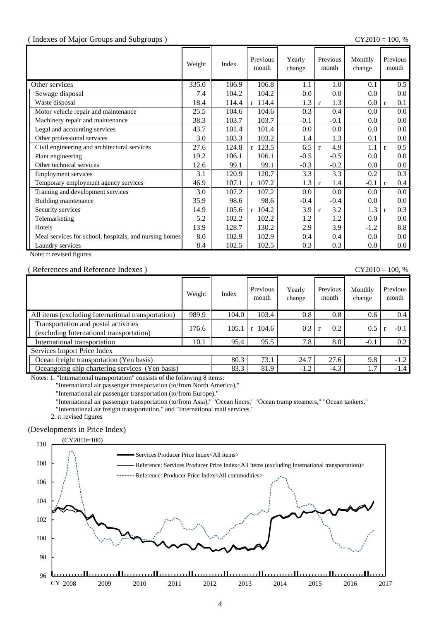#### ( Indexes of Major Groups and Subgroups ) CY2010 = 100, %

|                                                        | Weight | Index | Previous<br>month | Yearly<br>change | Previous<br>month   | Monthly<br>change | Previous<br>month   |
|--------------------------------------------------------|--------|-------|-------------------|------------------|---------------------|-------------------|---------------------|
| Other services                                         | 335.0  | 106.9 | 106.8             | 1.1              | 1.0                 | 0.1               | 0.5                 |
| Sewage disposal                                        | 7.4    | 104.2 | 104.2             | 0.0              | 0.0                 | 0.0               | $0.0\,$             |
| Waste disposal                                         | 18.4   | 114.4 | $r$ 114.4         | 1.3              | 1.3<br>$\mathbf{r}$ | 0.0               | 0.1<br>$\mathbf{r}$ |
| Motor vehicle repair and maintenance                   | 25.5   | 104.6 | 104.6             | 0.3              | 0.4                 | 0.0               | $0.0\,$             |
| Machinery repair and maintenance                       | 38.3   | 103.7 | 103.7             | $-0.1$           | $-0.1$              | 0.0               | $0.0\,$             |
| Legal and accounting services                          | 43.7   | 101.4 | 101.4             | 0.0              | 0.0                 | 0.0               | $0.0\,$             |
| Other professional services                            | 3.0    | 103.3 | 103.2             | 1.4              | 1.3                 | 0.1               | $0.0\,$             |
| Civil engineering and architectural services           | 27.6   | 124.8 | r 123.5           | 6.5              | 4.9<br>$\mathbf{r}$ | 1.1               | 0.5<br>r            |
| Plant engineering                                      | 19.2   | 106.1 | 106.1             | $-0.5$           | $-0.5$              | 0.0               | $0.0\,$             |
| Other technical services                               | 12.6   | 99.1  | 99.1              | $-0.3$           | $-0.2$              | 0.0               | $0.0\,$             |
| <b>Employment services</b>                             | 3.1    | 120.9 | 120.7             | 3.3              | 3.3                 | 0.2               | 0.3                 |
| Temporary employment agency services                   | 46.9   | 107.1 | $r$ 107.2         | 1.3              | 1.4<br>$\mathbf{r}$ | $-0.1$            | 0.4<br>$\mathbf{r}$ |
| Training and development services                      | 3.0    | 107.2 | 107.2             | 0.0              | 0.0                 | 0.0               | $0.0\,$             |
| Building maintenance                                   | 35.9   | 98.6  | 98.6              | $-0.4$           | $-0.4$              | 0.0               | $0.0\,$             |
| Security services                                      | 14.9   | 105.6 | $r$ 104.2         | 3.9              | 3.2<br>$\mathbf{r}$ | 1.3               | 0.3<br>$\mathbf{r}$ |
| Telemarketing                                          | 5.2    | 102.2 | 102.2             | 1.2              | 1.2                 | 0.0               | $0.0\,$             |
| Hotels                                                 | 13.9   | 128.7 | 130.2             | 2.9              | 3.9                 | $-1.2$            | 8.8                 |
| Meal services for school, hospitals, and nursing homes | 8.0    | 102.9 | 102.9             | 0.4              | 0.4                 | 0.0               | $0.0\,$             |
| Laundry services                                       | 8.4    | 102.5 | 102.5             | 0.3              | 0.3                 | 0.0               | $0.0\,$             |

Note: r: revised figures

### ( References and Reference Indexes ) CY2010 = 100, %

|                                                                                  | Weight | Index | Previous<br>month | Yearly<br>change | Previous<br>month | Monthly<br>change | Previous<br>month |
|----------------------------------------------------------------------------------|--------|-------|-------------------|------------------|-------------------|-------------------|-------------------|
| All items (excluding International transportation)                               | 989.9  | 104.0 | 103.4             | 0.8              | 0.8               | 0.6               | 0.4               |
| Transportation and postal activities<br>(excluding International transportation) | 176.6  | 105.7 | $r$ 104.6         | 0.3              | 0.2               | 0.5               | $-0.1$            |
| International transportation                                                     | 10.1   | 95.4  | 95.5              | 7.8              | 8.0               | $-0.1$            | 0.2               |
| Services Import Price Index                                                      |        |       |                   |                  |                   |                   |                   |
| Ocean freight transportation (Yen basis)                                         |        | 80.3  | 73.1              | 24.7             | 27.6              | 9.8               | $-1.2$            |
| Oceangoing ship chartering services (Yen basis)                                  |        | 83.3  | 81.9              | $-1.2$           | $-4.3$            | 1.7               | $-1.4$            |

Notes: 1. "International transportation" consists of the following 8 items:

"International air passenger transportation (to/from North America),"

"International air passenger transportation (to/from Europe),"

"International air passenger transportation (to/from Asia)," "Ocean liners," "Ocean tramp steamers," "Ocean tankers,"

"International air freight transportation," and "International mail services."

2. r: revised figures

#### (Developments in Price Index)

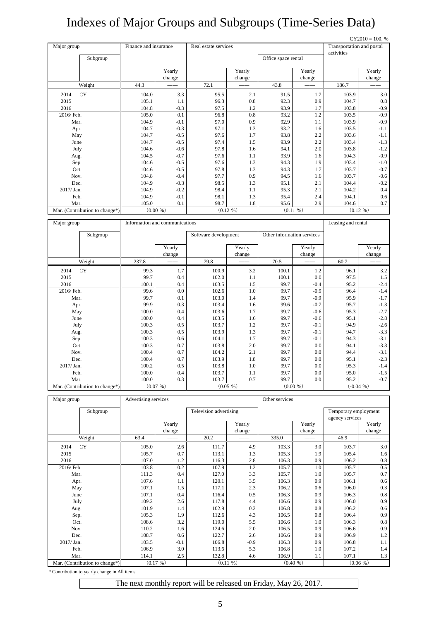# Indexes of Major Groups and Subgroups (Time-Series Data)

|             |                                |                       |                                |                      |            |                            |            |                           | $CY2010 = 100, %$ |
|-------------|--------------------------------|-----------------------|--------------------------------|----------------------|------------|----------------------------|------------|---------------------------|-------------------|
| Major group |                                | Finance and insurance |                                | Real estate services |            |                            |            | Transportation and postal |                   |
|             |                                |                       |                                |                      |            |                            |            | activities                |                   |
|             | Subgroup                       |                       |                                |                      |            | Office space rental        |            |                           |                   |
|             |                                |                       | Yearly                         |                      | Yearly     |                            | Yearly     |                           | Yearly            |
|             |                                |                       | change                         |                      | change     |                            | change     |                           | change            |
|             | Weight                         | 44.3                  |                                | 72.1                 |            | 43.8                       |            | 186.7                     |                   |
| 2014        | <b>CY</b>                      | 104.0                 | 3.3                            | 95.5                 | 2.1        | 91.5                       | 1.7        | 103.9                     | 3.0               |
| 2015        |                                | 105.1                 | 1.1                            | 96.3                 | 0.8        | 92.3                       | 0.9        | 104.7                     | $0.8\,$           |
| 2016        |                                | 104.8                 | $-0.3$                         | 97.5                 | 1.2        | 93.9                       | 1.7        | 103.8                     | $-0.9$            |
| 2016/ Feb.  |                                | 105.0                 | 0.1                            | 96.8                 | 0.8        | 93.2                       | 1.2        | 103.5                     | $-0.9$            |
| Mar.        |                                | 104.9                 | $-0.1$                         | 97.0                 | 0.9        | 92.9                       | 1.1        | 103.9                     | $-0.9$            |
| Apr.        |                                | 104.7                 | $-0.3$                         | 97.1                 | 1.3        | 93.2                       | 1.6        | 103.5                     | $-1.1$            |
| May         |                                | 104.7                 | $-0.5$                         | 97.6                 | 1.7        | 93.8                       | 2.2        | 103.6                     | $-1.1$            |
| June        |                                | 104.7                 | $-0.5$                         | 97.4                 | 1.5        | 93.9                       | 2.2        | 103.4                     | $-1.3$            |
| July        |                                | 104.6                 | $-0.6$                         | 97.8                 | 1.6        | 94.1                       | 2.0        | 103.8                     | $-1.2$            |
| Aug.        |                                | 104.5                 | $-0.7$                         | 97.6                 | 1.1        | 93.9                       | 1.6        | 104.3                     | $-0.9$            |
| Sep.        |                                | 104.6                 | $-0.5$                         | 97.6                 | 1.3        | 94.3                       | 1.9        | 103.4                     | $-1.0$            |
| Oct.        |                                | 104.6                 | $-0.5$                         | 97.8                 | 1.3        | 94.3                       | 1.7        | 103.7                     | $-0.7$            |
| Nov.        |                                | 104.8                 | $-0.4$                         | 97.7                 | 0.9        | 94.5                       | 1.6        | 103.7                     | $-0.6$            |
| Dec.        |                                | 104.9                 | $-0.3$                         | 98.5                 | 1.3        | 95.1                       | 2.1        | 104.4                     | $-0.2$            |
| 2017/Jan.   |                                | 104.9                 | $-0.2$                         | 98.4                 | 1.1        | 95.3                       | 2.1        | 104.2                     | $0.4\,$           |
| Feb.        |                                | 104.9                 | $-0.1$                         | 98.1                 | 1.3        | 95.4                       | 2.4        | 104.1                     | 0.6               |
| Mar.        |                                | 105.0                 | 0.1                            | 98.7                 | 1.8        | 95.6                       | 2.9        | 104.6                     | 0.7               |
|             | Mar. (Contribution to change*) |                       | $(0.00\% )$                    |                      | (0.12, 96) |                            | (0.11, 96) |                           | (0.12, 96)        |
|             |                                |                       |                                |                      |            |                            |            |                           |                   |
| Major group |                                |                       | Information and communications |                      |            |                            |            | Leasing and rental        |                   |
|             | Subgroup                       |                       |                                | Software development |            | Other information services |            |                           |                   |
|             |                                |                       |                                |                      |            |                            |            |                           |                   |
|             |                                |                       | Yearly                         |                      | Yearly     |                            | Yearly     |                           | Yearly            |
|             |                                |                       | change                         |                      | change     |                            | change     |                           | change            |
|             | Weight                         | 237.8                 |                                | 79.8                 |            | 70.5                       |            | 60.7                      |                   |
| 2014        | CY                             | 99.3                  | 1.7                            | 100.9                | 3.2        | 100.1                      | 1.2        | 96.1                      | 3.2               |
| 2015        |                                | 99.7                  | 0.4                            | 102.0                | 1.1        | 100.1                      | 0.0        | 97.5                      | $1.5\,$           |
| 2016        |                                | 100.1                 | 0.4                            | 103.5                | 1.5        | 99.7                       | $-0.4$     | 95.2                      | $-2.4$            |
| 2016/Feb.   |                                | 99.6                  | 0.0                            | 102.6                | 1.0        | 99.7                       | $-0.9$     | 96.4                      | $-1.4$            |
| Mar.        |                                | 99.7                  | 0.1                            | 103.0                | 1.4        | 99.7                       | $-0.9$     | 95.9                      | $-1.7$            |
| Apr.        |                                | 99.9                  | 0.3                            | 103.4                | 1.6        | 99.6                       | $-0.7$     | 95.7                      | $-1.3$            |
| May         |                                | 100.0                 | 0.4                            | 103.6                | 1.7        | 99.7                       | $-0.6$     | 95.3                      | $-2.7$            |
| June        |                                | 100.0                 | 0.4                            | 103.5                | 1.6        | 99.7                       | $-0.6$     | 95.1                      | $-2.8$            |
| July        |                                | 100.3                 | 0.5                            | 103.7                | 1.2        | 99.7                       | $-0.1$     | 94.9                      | $-2.6$            |
| Aug.        |                                | 100.3                 | 0.5                            | 103.9                | 1.3        | 99.7                       | $-0.1$     | 94.7                      | $-3.3$            |

| Mar. (Contribution to change*) |       | (0.07, % ) |       | (0.05, % ) |      | $(0.00\% )$ |      | $(-0.04\% )$ |
|--------------------------------|-------|------------|-------|------------|------|-------------|------|--------------|
| Mar.                           | 100.0 | 0.3        | 103.7 | 0.7        | 99.7 | 0.0         | 95.2 | $-0.7$       |
| Feb.                           | 100.0 | 0.4        | 103.7 | 1.1        | 99.7 | 0.0         | 95.0 | $-1.5$       |
| 2017/ Jan.                     | 100.2 | 0.5        | 103.8 | $1.0-1$    | 99.7 | 0.0         | 95.3 | $-1.4$       |
| Dec.                           | 100.4 | 0.7        | 103.9 | 1.8        | 99.7 | 0.0         | 95.1 | $-2.3$       |
| Nov.                           | 100.4 | 0.7        | 104.2 | 2.1        | 99.7 | 0.0         | 94.4 | $-3.1$       |
| Oct.                           | 100.3 | 0.7        | 103.8 | 2.0        | 99.7 | 0.0         | 94.1 | $-3.3$       |
| Sep.                           | 100.3 | 0.6        | 104.1 | 1.7        | 99.7 | $-0.1$      | 94.3 | $-3.1$       |
| Aug.                           | 100.3 | 0.5        | 103.9 | 1.3        | 99.7 | $-0.1$      | 94.7 | $-3.3$       |
|                                |       |            |       |            |      |             |      |              |

| Major group                    | Advertising services |            |                        |           |       | Other services |                      |          |  |
|--------------------------------|----------------------|------------|------------------------|-----------|-------|----------------|----------------------|----------|--|
| Subgroup                       |                      |            | Television advertising |           |       |                | Temporary employment |          |  |
|                                |                      |            |                        |           |       |                | agency services      |          |  |
|                                |                      | Yearly     |                        | Yearly    |       | Yearly         |                      | Yearly   |  |
|                                |                      | change     |                        | change    |       | change         |                      | change   |  |
| Weight                         | 63.4                 |            | 20.2                   |           | 335.0 |                | 46.9                 |          |  |
| CY<br>2014                     | 105.0                | 2.6        | 111.7                  | 4.9       | 103.3 | 3.0            | 103.7                | 3.0      |  |
| 2015                           | 105.7                | 0.7        | 113.1                  | 1.3       | 105.3 | 1.9            | 105.4                | 1.6      |  |
| 2016                           | 107.0                | 1.2        | 116.3                  | 2.8       | 106.3 | 0.9            | 106.2                | 0.8      |  |
| 2016/ Feb.                     | 103.8                | 0.2        | 107.9                  | 1.2       | 105.7 | 1.0            | 105.7                | 0.5      |  |
| Mar.                           | 111.3                | 0.4        | 127.0                  | 3.3       | 105.7 | 1.0            | 105.7                | 0.7      |  |
| Apr.                           | 107.6                | 1.1        | 120.1                  | 3.5       | 106.3 | 0.9            | 106.1                | 0.6      |  |
| May                            | 107.1                | 1.5        | 117.1                  | 2.3       | 106.2 | 0.6            | 106.0                | 0.3      |  |
| June                           | 107.1                | 0.4        | 116.4                  | 0.5       | 106.3 | 0.9            | 106.3                | 0.8      |  |
| July                           | 109.2                | 2.6        | 117.8                  | 4.4       | 106.6 | 0.9            | 106.0                | 0.9      |  |
| Aug.                           | 101.9                | 1.4        | 102.9                  | 0.2       | 106.8 | 0.8            | 106.2                | 0.6      |  |
| Sep.                           | 105.3                | 1.9        | 112.6                  | 4.3       | 106.5 | 0.8            | 106.4                | 0.9      |  |
| Oct.                           | 108.6                | 3.2        | 119.0                  | 5.5       | 106.6 | 1.0            | 106.3                | 0.8      |  |
| Nov.                           | 110.2                | 1.6        | 124.6                  | 2.0       | 106.5 | 0.9            | 106.6                | 0.9      |  |
| Dec.                           | 108.7                | 0.6        | 122.7                  | 2.6       | 106.6 | 0.9            | 106.9                | 1.2      |  |
| 2017/ Jan.                     | 103.5                | $-0.1$     | 106.8                  | $-0.9$    | 106.3 | 0.9            | 106.8                | 1.1      |  |
| Feb.                           | 106.9                | 3.0        | 113.6                  | 5.3       | 106.8 | 1.0            | 107.2                | 1.4      |  |
| Mar.                           | 114.1                | 2.5        | 132.8                  | 4.6       | 106.9 | 1.1            | 107.1                | 1.3      |  |
| Mar. (Contribution to change*) |                      | (0.17, 96) |                        | (0.11, 9) |       | $(0.40\% )$    |                      | (0.06 %) |  |

\* Contribution to yearly change in All items

The next monthly report will be released on Friday, May 26, 2017.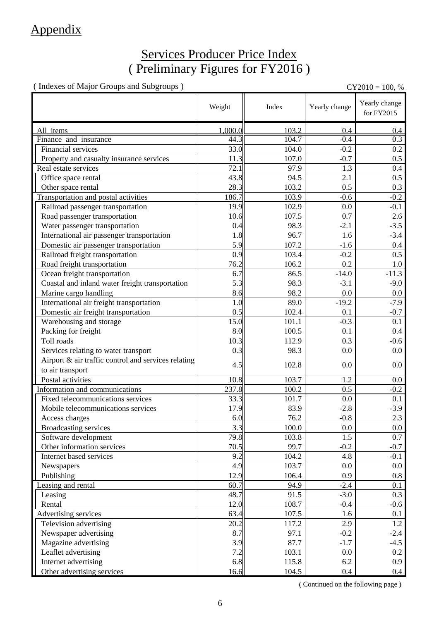### Appendix

### Services Producer Price Index ( Preliminary Figures for FY2016 )

( Indexes of Major Groups and Subgroups ) CY2010 = 100, %

|                                                     | Weight  | Index | Yearly change | Yearly change<br>for FY2015 |
|-----------------------------------------------------|---------|-------|---------------|-----------------------------|
| All items                                           | 1.000.0 | 103.2 | 0.4           | 0.4                         |
| Finance and insurance                               | 44.3    | 104.7 | $-0.4$        | $\overline{0.3}$            |
| Financial services                                  | 33.0    | 104.0 | $-0.2$        | 0.2                         |
| Property and casualty insurance services            | 11.3    | 107.0 | $-0.7$        | 0.5                         |
| Real estate services                                | 72.1    | 97.9  | 1.3           | 0.4                         |
| Office space rental                                 | 43.8    | 94.5  | 2.1           | 0.5                         |
| Other space rental                                  | 28.3    | 103.2 | 0.5           | 0.3                         |
| Transportation and postal activities                | 186.7   | 103.9 | $-0.6$        | $-0.2$                      |
| Railroad passenger transportation                   | 19.9    | 102.9 | 0.0           | $-0.1$                      |
| Road passenger transportation                       | 10.6    | 107.5 | 0.7           | 2.6                         |
| Water passenger transportation                      | 0.4     | 98.3  | $-2.1$        | $-3.5$                      |
| International air passenger transportation          | 1.8     | 96.7  | 1.6           | $-3.4$                      |
| Domestic air passenger transportation               | 5.9     | 107.2 | $-1.6$        | 0.4                         |
| Railroad freight transportation                     | 0.9     | 103.4 | $-0.2$        | 0.5                         |
| Road freight transportation                         | 76.2    | 106.2 | 0.2           | 1.0                         |
| Ocean freight transportation                        | 6.7     | 86.5  | $-14.0$       | $-11.3$                     |
| Coastal and inland water freight transportation     | 5.3     | 98.3  | $-3.1$        | $-9.0$                      |
| Marine cargo handling                               | 8.6     | 98.2  | 0.0           | 0.0                         |
| International air freight transportation            | 1.0     | 89.0  | $-19.2$       | $-7.9$                      |
| Domestic air freight transportation                 | 0.5     | 102.4 | 0.1           | $-0.7$                      |
| Warehousing and storage                             | 15.0    | 101.1 | $-0.3$        | 0.1                         |
| Packing for freight                                 | 8.0     | 100.5 | 0.1           | 0.4                         |
| Toll roads                                          | 10.3    | 112.9 | 0.3           | $-0.6$                      |
| Services relating to water transport                | 0.3     | 98.3  | 0.0           | 0.0                         |
| Airport & air traffic control and services relating |         |       |               |                             |
| to air transport                                    | 4.5     | 102.8 | 0.0           | $0.0\,$                     |
| Postal activities                                   | 10.8    | 103.7 | 1.2           | $0.0\,$                     |
| Information and communications                      | 237.8   | 100.2 | 0.5           | $-0.2$                      |
| Fixed telecommunications services                   | 33.3    | 101.7 | 0.0           | 0.1                         |
| Mobile telecommunications services                  | 17.9    | 83.9  | $-2.8$        | $-3.9$                      |
| Access charges                                      | 6.0     | 76.2  | $-0.8$        | 2.3                         |
| <b>Broadcasting services</b>                        | 3.3     | 100.0 | 0.0           | $0.0\,$                     |
| Software development                                | 79.8    | 103.8 | 1.5           | 0.7                         |
| Other information services                          | 70.5    | 99.7  | $-0.2$        | $-0.7$                      |
| Internet based services                             | 9.2     | 104.2 | 4.8           | $-0.1$                      |
| Newspapers                                          | 4.9     | 103.7 | 0.0           | $0.0\,$                     |
| Publishing                                          | 12.9    | 106.4 | 0.9           | $0.8\,$                     |
| Leasing and rental                                  | 60.7    | 94.9  | $-2.4$        | 0.1                         |
| Leasing                                             | 48.7    | 91.5  | $-3.0$        | 0.3                         |
| Rental                                              | 12.0    | 108.7 | $-0.4$        | $-0.6$                      |
| Advertising services                                | 63.4    | 107.5 | 1.6           | 0.1                         |
| Television advertising                              | 20.2    | 117.2 | 2.9           | 1.2                         |
| Newspaper advertising                               | 8.7     | 97.1  | $-0.2$        | $-2.4$                      |
| Magazine advertising                                | 3.9     | 87.7  | $-1.7$        | $-4.5$                      |
| Leaflet advertising                                 | 7.2     | 103.1 | 0.0           | $0.2\,$                     |
| Internet advertising                                | 6.8     | 115.8 | 6.2           | 0.9                         |
| Other advertising services                          | 16.6    | 104.5 | $0.4\,$       | 0.4                         |

( Continued on the following page )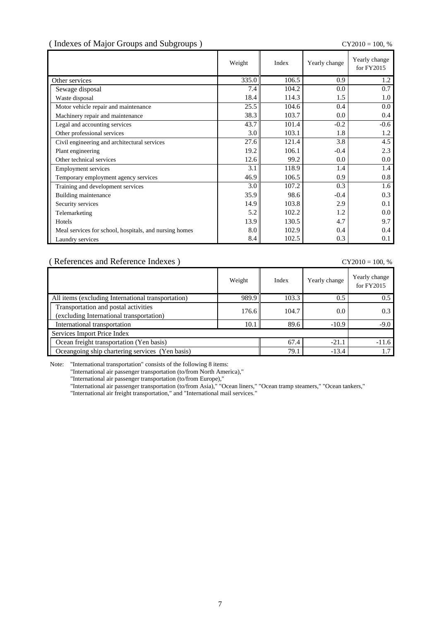### ( Indexes of Major Groups and Subgroups ) CY2010 = 100, %

|                                                        | Weight | Index | Yearly change | Yearly change<br>for FY2015 |
|--------------------------------------------------------|--------|-------|---------------|-----------------------------|
| Other services                                         | 335.0  | 106.5 | 0.9           | 1.2                         |
| Sewage disposal                                        | 7.4    | 104.2 | 0.0           | 0.7                         |
| Waste disposal                                         | 18.4   | 114.3 | 1.5           | 1.0                         |
| Motor vehicle repair and maintenance                   | 25.5   | 104.6 | 0.4           | 0.0                         |
| Machinery repair and maintenance                       | 38.3   | 103.7 | 0.0           | 0.4                         |
| Legal and accounting services                          | 43.7   | 101.4 | $-0.2$        | $-0.6$                      |
| Other professional services                            | 3.0    | 103.1 | 1.8           | 1.2                         |
| Civil engineering and architectural services           | 27.6   | 121.4 | 3.8           | 4.5                         |
| Plant engineering                                      | 19.2   | 106.1 | $-0.4$        | 2.3                         |
| Other technical services                               | 12.6   | 99.2  | 0.0           | 0.0                         |
| <b>Employment services</b>                             | 3.1    | 118.9 | 1.4           | 1.4                         |
| Temporary employment agency services                   | 46.9   | 106.5 | 0.9           | 0.8                         |
| Training and development services                      | 3.0    | 107.2 | 0.3           | 1.6                         |
| Building maintenance                                   | 35.9   | 98.6  | $-0.4$        | 0.3                         |
| Security services                                      | 14.9   | 103.8 | 2.9           | 0.1                         |
| Telemarketing                                          | 5.2    | 102.2 | 1.2           | 0.0                         |
| Hotels                                                 | 13.9   | 130.5 | 4.7           | 9.7                         |
| Meal services for school, hospitals, and nursing homes | 8.0    | 102.9 | 0.4           | 0.4                         |
| Laundry services                                       | 8.4    | 102.5 | 0.3           | $0.1\,$                     |

#### ( References and Reference Indexes ) CY2010 = 100, %

|                                                                                  | Weight | Index   | Yearly change | Yearly change<br>for FY2015 |
|----------------------------------------------------------------------------------|--------|---------|---------------|-----------------------------|
| All items (excluding International transportation)                               | 989.9  | 103.3   | 0.5           | 0.5                         |
| Transportation and postal activities<br>(excluding International transportation) | 176.6  | 104.7   | 0.0           | 0.3                         |
| International transportation                                                     | 10.1   | 89.6    | $-10.9$       | $-9.0$                      |
| Services Import Price Index                                                      |        |         |               |                             |
| Ocean freight transportation (Yen basis)                                         | 67.4   | $-21.1$ | $-11.6$       |                             |
| Oceangoing ship chartering services (Yen basis)                                  |        | 79.1    | $-13.4$       |                             |

Note: "International transportation" consists of the following 8 items:

"International air passenger transportation (to/from North America),"

"International air passenger transportation (to/from Europe),"

"International air passenger transportation (to/from Asia)," "Ocean liners," "Ocean tramp steamers," "Ocean tankers,"

"International air freight transportation," and "International mail services."